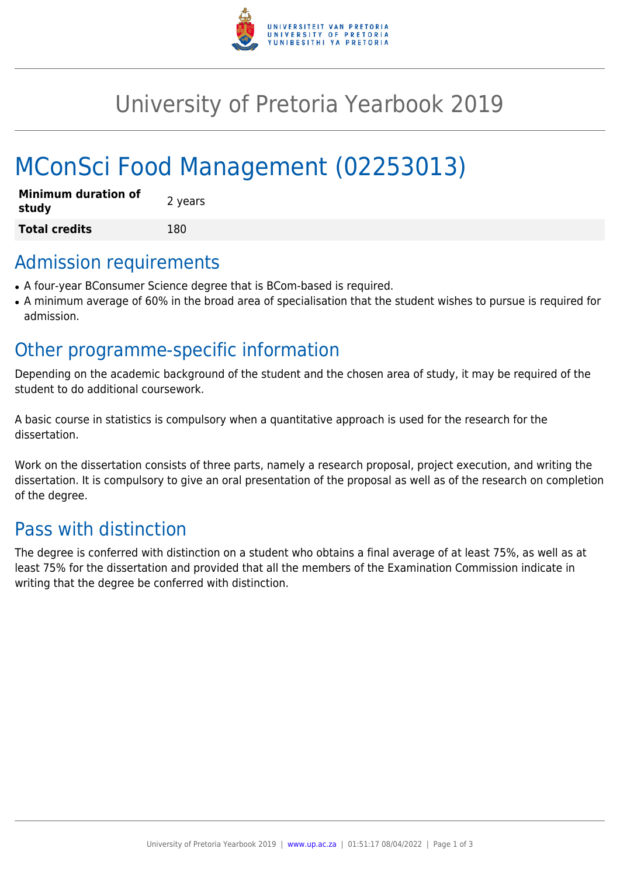

# University of Pretoria Yearbook 2019

# MConSci Food Management (02253013)

| <b>Minimum duration of</b><br>study | 2 years |
|-------------------------------------|---------|
| <b>Total credits</b>                | 180     |

### Admission requirements

- A four-year BConsumer Science degree that is BCom-based is required.
- A minimum average of 60% in the broad area of specialisation that the student wishes to pursue is required for admission.

## Other programme-specific information

Depending on the academic background of the student and the chosen area of study, it may be required of the student to do additional coursework.

A basic course in statistics is compulsory when a quantitative approach is used for the research for the dissertation.

Work on the dissertation consists of three parts, namely a research proposal, project execution, and writing the dissertation. It is compulsory to give an oral presentation of the proposal as well as of the research on completion of the degree.

## Pass with distinction

The degree is conferred with distinction on a student who obtains a final average of at least 75%, as well as at least 75% for the dissertation and provided that all the members of the Examination Commission indicate in writing that the degree be conferred with distinction.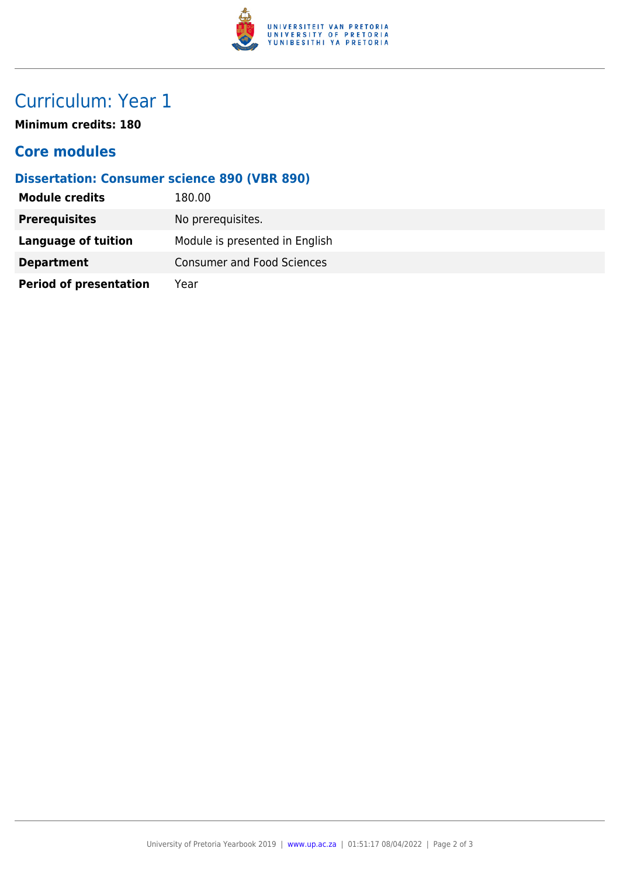

## Curriculum: Year 1

**Minimum credits: 180**

#### **Core modules**

#### **Dissertation: Consumer science 890 (VBR 890)**

| <b>Module credits</b>         | 180.00                            |
|-------------------------------|-----------------------------------|
| <b>Prerequisites</b>          | No prerequisites.                 |
| Language of tuition           | Module is presented in English    |
| <b>Department</b>             | <b>Consumer and Food Sciences</b> |
| <b>Period of presentation</b> | Year                              |